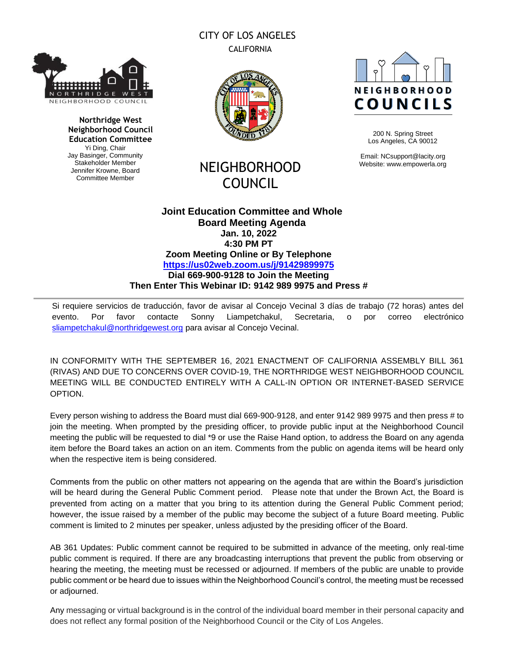# THRID EIGHBORHOOD COUNCIL

**Northridge West Neighborhood Council Education Committee** Yi Ding, Chair Jay Basinger, Community Stakeholder Member Jennifer Krowne, Board Committee Member



CITY OF LOS ANGELES CALIFORNIA

# NEIGHBORHOOD COUNCIL



200 N. Spring Street Los Angeles, CA 90012

Email: NCsupport@lacity.org Website: www.empowerla.org

## **Joint Education Committee and Whole Board Meeting Agenda Jan. 10, 2022 4:30 PM PT Zoom Meeting Online or By Telephone <https://us02web.zoom.us/j/91429899975> Dial 669-900-9128 to Join the Meeting Then Enter This Webinar ID: 9142 989 9975 and Press #**

Si requiere servicios de traducción, favor de avisar al Concejo Vecinal 3 días de trabajo (72 horas) antes del evento. Por favor contacte Sonny Liampetchakul, Secretaria, o por correo electrónico [sliampetchakul@northridgewest.org](mailto:sliampetchakul@northridgewest.org) para avisar al Concejo Vecinal.

IN CONFORMITY WITH THE SEPTEMBER 16, 2021 ENACTMENT OF CALIFORNIA ASSEMBLY BILL 361 (RIVAS) AND DUE TO CONCERNS OVER COVID-19, THE NORTHRIDGE WEST NEIGHBORHOOD COUNCIL MEETING WILL BE CONDUCTED ENTIRELY WITH A CALL-IN OPTION OR INTERNET-BASED SERVICE OPTION.

Every person wishing to address the Board must dial 669-900-9128, and enter 9142 989 9975 and then press # to join the meeting. When prompted by the presiding officer, to provide public input at the Neighborhood Council meeting the public will be requested to dial \*9 or use the Raise Hand option, to address the Board on any agenda item before the Board takes an action on an item. Comments from the public on agenda items will be heard only when the respective item is being considered.

Comments from the public on other matters not appearing on the agenda that are within the Board's jurisdiction will be heard during the General Public Comment period. Please note that under the Brown Act, the Board is prevented from acting on a matter that you bring to its attention during the General Public Comment period; however, the issue raised by a member of the public may become the subject of a future Board meeting. Public comment is limited to 2 minutes per speaker, unless adjusted by the presiding officer of the Board.

AB 361 Updates: Public comment cannot be required to be submitted in advance of the meeting, only real-time public comment is required. If there are any broadcasting interruptions that prevent the public from observing or hearing the meeting, the meeting must be recessed or adjourned. If members of the public are unable to provide public comment or be heard due to issues within the Neighborhood Council's control, the meeting must be recessed or adjourned.

Any messaging or virtual background is in the control of the individual board member in their personal capacity and does not reflect any formal position of the Neighborhood Council or the City of Los Angeles.